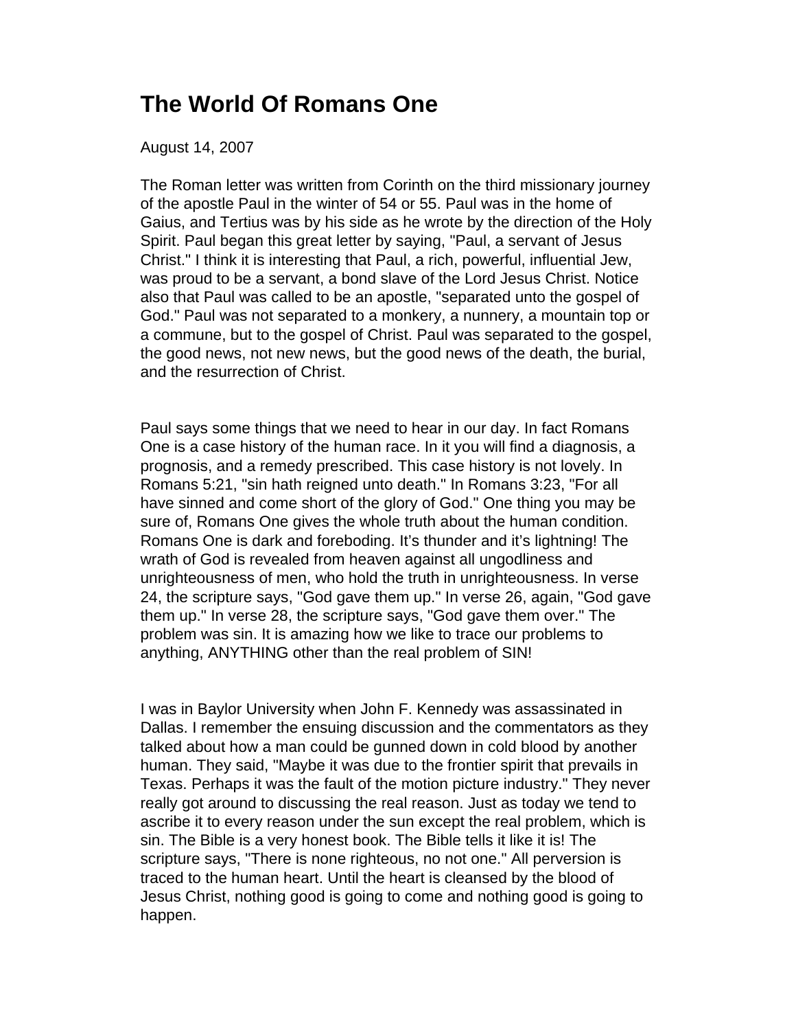## **The World Of Romans One**

August 14, 2007

The Roman letter was written from Corinth on the third missionary journey of the apostle Paul in the winter of 54 or 55. Paul was in the home of Gaius, and Tertius was by his side as he wrote by the direction of the Holy Spirit. Paul began this great letter by saying, "Paul, a servant of Jesus Christ." I think it is interesting that Paul, a rich, powerful, influential Jew, was proud to be a servant, a bond slave of the Lord Jesus Christ. Notice also that Paul was called to be an apostle, "separated unto the gospel of God." Paul was not separated to a monkery, a nunnery, a mountain top or a commune, but to the gospel of Christ. Paul was separated to the gospel, the good news, not new news, but the good news of the death, the burial, and the resurrection of Christ.

Paul says some things that we need to hear in our day. In fact Romans One is a case history of the human race. In it you will find a diagnosis, a prognosis, and a remedy prescribed. This case history is not lovely. In Romans 5:21, "sin hath reigned unto death." In Romans 3:23, "For all have sinned and come short of the glory of God." One thing you may be sure of, Romans One gives the whole truth about the human condition. Romans One is dark and foreboding. It's thunder and it's lightning! The wrath of God is revealed from heaven against all ungodliness and unrighteousness of men, who hold the truth in unrighteousness. In verse 24, the scripture says, "God gave them up." In verse 26, again, "God gave them up." In verse 28, the scripture says, "God gave them over." The problem was sin. It is amazing how we like to trace our problems to anything, ANYTHING other than the real problem of SIN!

I was in Baylor University when John F. Kennedy was assassinated in Dallas. I remember the ensuing discussion and the commentators as they talked about how a man could be gunned down in cold blood by another human. They said, "Maybe it was due to the frontier spirit that prevails in Texas. Perhaps it was the fault of the motion picture industry." They never really got around to discussing the real reason. Just as today we tend to ascribe it to every reason under the sun except the real problem, which is sin. The Bible is a very honest book. The Bible tells it like it is! The scripture says, "There is none righteous, no not one." All perversion is traced to the human heart. Until the heart is cleansed by the blood of Jesus Christ, nothing good is going to come and nothing good is going to happen.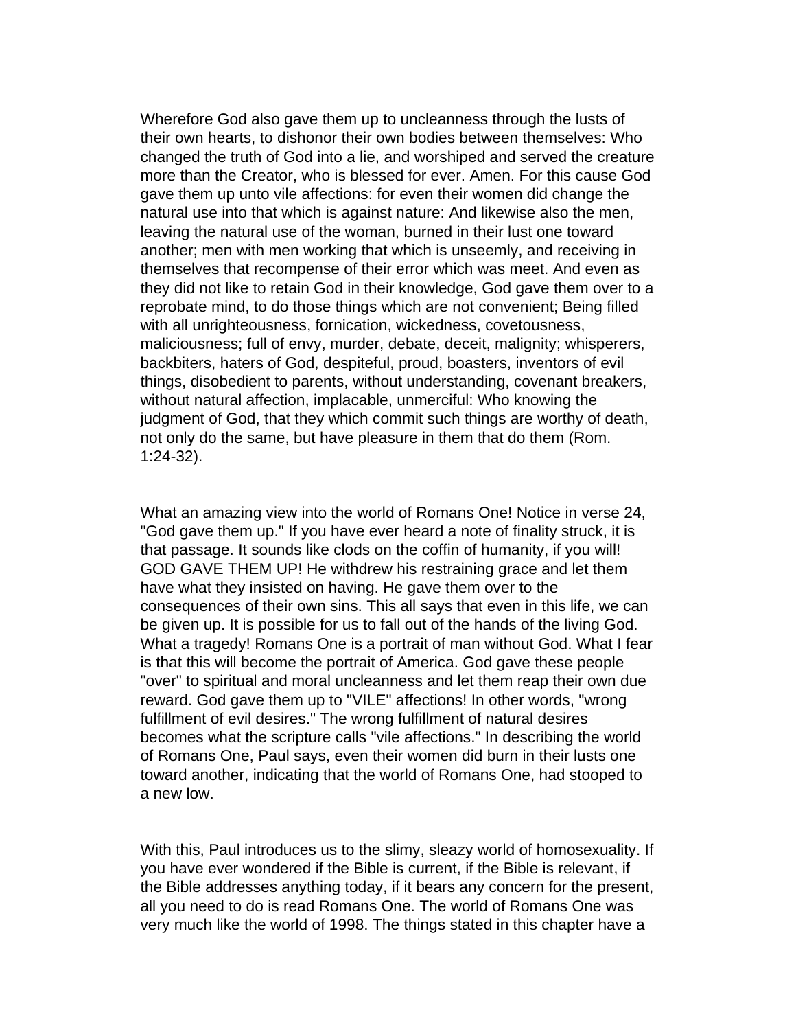Wherefore God also gave them up to uncleanness through the lusts of their own hearts, to dishonor their own bodies between themselves: Who changed the truth of God into a lie, and worshiped and served the creature more than the Creator, who is blessed for ever. Amen. For this cause God gave them up unto vile affections: for even their women did change the natural use into that which is against nature: And likewise also the men, leaving the natural use of the woman, burned in their lust one toward another; men with men working that which is unseemly, and receiving in themselves that recompense of their error which was meet. And even as they did not like to retain God in their knowledge, God gave them over to a reprobate mind, to do those things which are not convenient; Being filled with all unrighteousness, fornication, wickedness, covetousness, maliciousness; full of envy, murder, debate, deceit, malignity; whisperers, backbiters, haters of God, despiteful, proud, boasters, inventors of evil things, disobedient to parents, without understanding, covenant breakers, without natural affection, implacable, unmerciful: Who knowing the judgment of God, that they which commit such things are worthy of death, not only do the same, but have pleasure in them that do them (Rom. 1:24-32).

What an amazing view into the world of Romans One! Notice in verse 24, "God gave them up." If you have ever heard a note of finality struck, it is that passage. It sounds like clods on the coffin of humanity, if you will! GOD GAVE THEM UP! He withdrew his restraining grace and let them have what they insisted on having. He gave them over to the consequences of their own sins. This all says that even in this life, we can be given up. It is possible for us to fall out of the hands of the living God. What a tragedy! Romans One is a portrait of man without God. What I fear is that this will become the portrait of America. God gave these people "over" to spiritual and moral uncleanness and let them reap their own due reward. God gave them up to "VILE" affections! In other words, "wrong fulfillment of evil desires." The wrong fulfillment of natural desires becomes what the scripture calls "vile affections." In describing the world of Romans One, Paul says, even their women did burn in their lusts one toward another, indicating that the world of Romans One, had stooped to a new low.

With this, Paul introduces us to the slimy, sleazy world of homosexuality. If you have ever wondered if the Bible is current, if the Bible is relevant, if the Bible addresses anything today, if it bears any concern for the present, all you need to do is read Romans One. The world of Romans One was very much like the world of 1998. The things stated in this chapter have a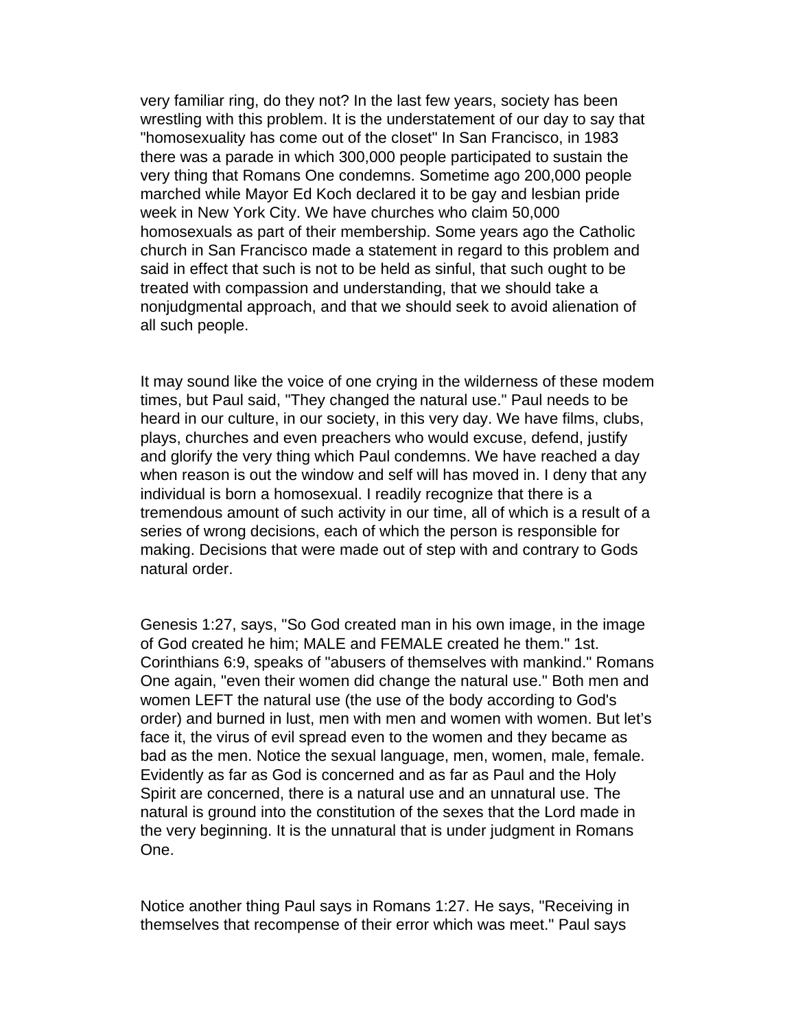very familiar ring, do they not? In the last few years, society has been wrestling with this problem. It is the understatement of our day to say that "homosexuality has come out of the closet" In San Francisco, in 1983 there was a parade in which 300,000 people participated to sustain the very thing that Romans One condemns. Sometime ago 200,000 people marched while Mayor Ed Koch declared it to be gay and lesbian pride week in New York City. We have churches who claim 50,000 homosexuals as part of their membership. Some years ago the Catholic church in San Francisco made a statement in regard to this problem and said in effect that such is not to be held as sinful, that such ought to be treated with compassion and understanding, that we should take a nonjudgmental approach, and that we should seek to avoid alienation of all such people.

It may sound like the voice of one crying in the wilderness of these modem times, but Paul said, "They changed the natural use." Paul needs to be heard in our culture, in our society, in this very day. We have films, clubs, plays, churches and even preachers who would excuse, defend, justify and glorify the very thing which Paul condemns. We have reached a day when reason is out the window and self will has moved in. I deny that any individual is born a homosexual. I readily recognize that there is a tremendous amount of such activity in our time, all of which is a result of a series of wrong decisions, each of which the person is responsible for making. Decisions that were made out of step with and contrary to Gods natural order.

Genesis 1:27, says, "So God created man in his own image, in the image of God created he him; MALE and FEMALE created he them." 1st. Corinthians 6:9, speaks of "abusers of themselves with mankind." Romans One again, "even their women did change the natural use." Both men and women LEFT the natural use (the use of the body according to God's order) and burned in lust, men with men and women with women. But let's face it, the virus of evil spread even to the women and they became as bad as the men. Notice the sexual language, men, women, male, female. Evidently as far as God is concerned and as far as Paul and the Holy Spirit are concerned, there is a natural use and an unnatural use. The natural is ground into the constitution of the sexes that the Lord made in the very beginning. It is the unnatural that is under judgment in Romans One.

Notice another thing Paul says in Romans 1:27. He says, "Receiving in themselves that recompense of their error which was meet." Paul says